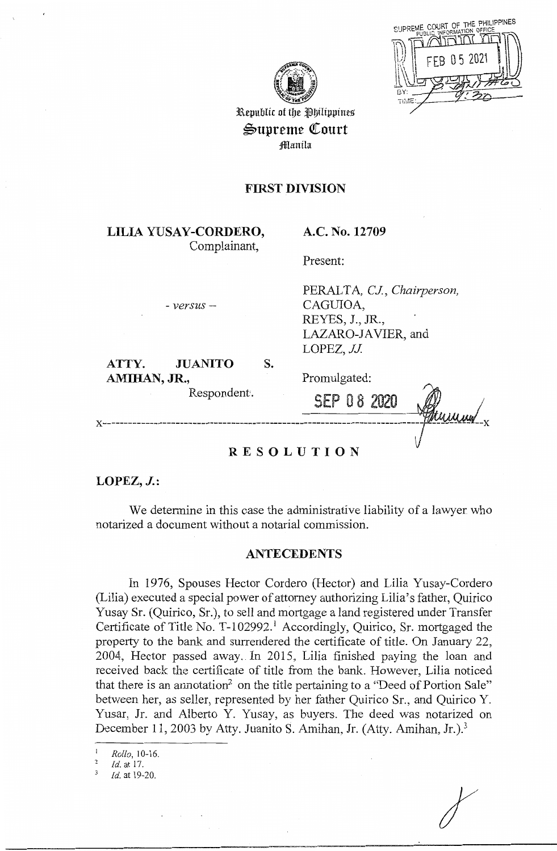



Republic of the Philippines  $\triangle$ upreme Court fflanila

# **FIRST DIVISION**

**LILIA YUSAY-CORDERO,**  Complainant,

**A.C. No. 12709** 

PERALTA, *CJ., Chairperson,* 

*LAZARO-IA* VIER, and

Present:

- *versus-*

#### **ATTY. JUANITO AMIHAN,JR.,**  Respondent. s.

LOPEZ, *JJ.* 

CAGUIOA, REYES, J., JR.,

SEP O 8 2020

Promulgated: **x---------------------------------------------------------------------------**

# **RESOLUTION**

**LOPEZ, J.:** 

We determine in this case the administrative liability of a lawyer who notarized a document without a notarial commission.

## **ANTECEDENTS**

In 1976, Spouses Hector Cordero (Hector) and Lilia Yusay-Cordero (Lilia) executed a special power of attorney authorizing Lilia's father, Quirico Yusay Sr. (Quirico, Sr.), to sell and mortgage a land registered under Transfer Certificate of Title No. T-102992.<sup>1</sup> Accordingly, Quirico, Sr. mortgaged the property to the bank and surrendered the certificate of title. On January 22, 2004, Hector passed away. In 2015, Lilia finished paying the loan and received back the certificate of title from the bank. However, Lilia noticed that there is an annotation<sup>2</sup> on the title pertaining to a "Deed of Portion Sale" between her, as seller, represented by her father Quirico Sr., and Quirico Y. Yusar, Jr. and Alberto Y. Yusay, as buyers. The deed was notarized on December 11, 2003 by Atty. Juanito S. Amihan, Jr. (Atty. Amihan, Jr.).<sup>3</sup>

<sup>2</sup>**Id. at 17.** 

3 *Id.* at 19-20.

<sup>1</sup> *Rollo,* I 0-16.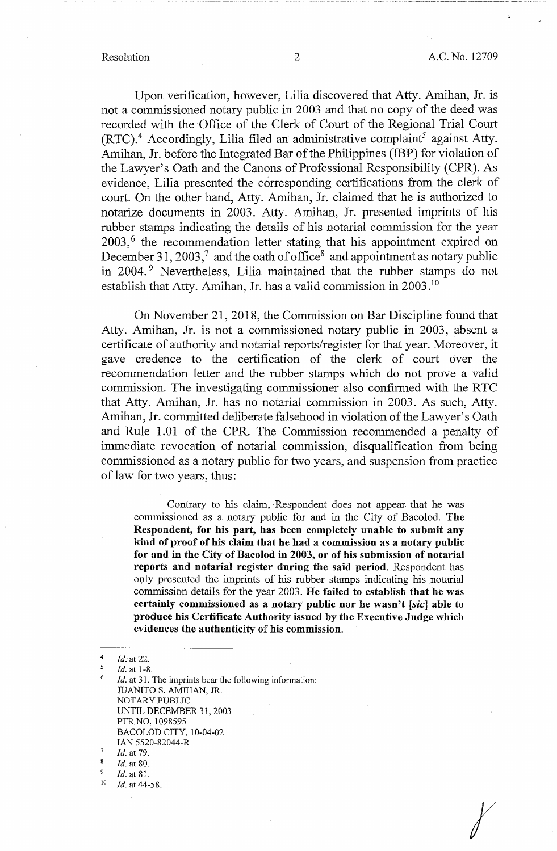*r* 

Upon verification, however, Lilia discovered that Atty. Amihan, Jr. is not a commissioned notary public in 2003 and that no copy of the deed was recorded with the Office of the Clerk of Court of the Regional Trial Court  $(RTC)^4$ . Accordingly, Lilia filed an administrative complaint<sup>5</sup> against Atty. Amihan, Jr. before the Integrated Bar of the Philippines (IBP) for violation of the Lawyer's Oath and the Canons of Professional Responsibility (CPR). As evidence, Lilia presented the corresponding certifications from the clerk of court. On the other hand, Atty. Amihan, Jr. claimed that he is authorized to notarize documents in 2003. Atty. Amihan, Jr. presented imprints of his rubber stamps indicating the details of his notarial commission for the year 2003,<sup>6</sup> the recommendation letter stating that his appointment expired on December 31, 2003,<sup>7</sup> and the oath of office<sup>8</sup> and appointment as notary public in 2004.<sup>9</sup> Nevertheless, Lilia maintained that the rubber stamps do not establish that Atty. Amihan, Jr. has a valid commission in 2003. <sup>10</sup>

On November 21, 2018, the Commission on Bar Discipline found that Atty. Amihan, Jr. is not a commissioned notary public in 2003, absent a certificate of authority and notarial reports/register for that year. Moreover, it gave credence to the certification of the clerk of court over the recommendation letter and the rubber stamps which do not prove a valid commission. The investigating commissioner also confirmed with the RTC that Atty. Amihan, Jr. has no notarial commission in 2003. As such, Atty. Amihan, Jr. committed deliberate falsehood in violation of the Lawyer's Oath and Rule 1.01 of the CPR. The Commission recommended a penalty of immediate revocation of notarial commission, disqualification from being commissioned as a notary public for two years, and suspension from practice of law for two years, thus:

Contrary to his claim, Respondent does not appear that he was commissioned as a notary public for and in the City of Bacolod. **The Respondent, for his part, has been completely unable to submit any kind of proof of his claim that he had a commission as a notary public for and in the City of Bacolod** in **2003, or of his submission of notarial reports and notarial register during the said period.** Respondent has only presented the imprints of his rubber stamps indicating his notarial commission details for the year 2003. **He failed to establish that he was certainly commissioned as a notary public nor he wasn't [sic] able to produce his Certificate Authority issued by the Executive Judge which evidences the authenticity** of **his commission.** 

*Id.* at 31. The imprints bear the following information: JUANITO S. AMIHAN, JR. NOTARY PUBLIC UNTIL DECEMBER 31, 2003 PTR NO. 1098595 BACOLOD CITY, 10-04-02 IAN 5520-82044-R

 $\frac{4}{5}$  *Id.* at 22.

 $\frac{5}{6}$  *Id.* at 1-8.

 $\frac{7}{8}$  *Id.* at 79.

 $\frac{8}{9}$  *Id.* at 80.

<sup>9</sup>*Id.* at 81. 10 *Id.* at 44-58.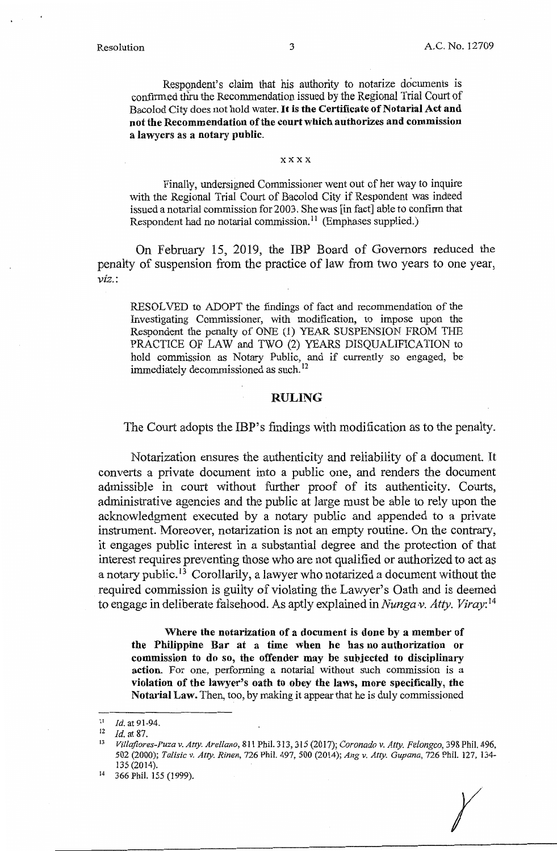Respondent's claim that his authority to notarize documents is confirmed thru the Recommendation issued by the Regional Trial Court of Bacolod City does not hold water. **It is the Certificate of Notarial Act and not the Recommendation ofthe court which authorizes and commission a lawyers as a notary public.** 

#### **xxxx**

Finally, undersigned Commissioner went out of her way to inquire with the Regional Trial Court of Bacolod City if Respondent was indeed issued a notarial commission for 2003. She was [in fact] able to confirm that Respondent had no notarial commission.<sup>11</sup> (Emphases supplied.)

On February 15, 2019, the IBP Board of Governors reduced the penalty of suspension from the practice of law from two years to one year, *viz.:* 

RESOLVED to ADOPT the findings of fact and recommendation of the Investigating Commissioner, with modification, to impose upon the Respondent the penalty of ONE (1) YEAR SUSPENSION FROM THE PRACTICE OF LAW and TWO (2) YEARS DISQUALIFICATION to hold commission as Notary Public, and if currently so engaged, be immediately decommissioned as such. 12

#### **RULING**

The Court adopts the IBP's findings with modification as to the penalty.

Notarization ensures the authenticity and reliability of a document. It converts a private document into a public one, and renders the document admissible in court without further proof of its authenticity. Courts, administrative agencies and the public at large must be able to rely upon the acknowledgment executed by a notary public and appended to a private instrument. Moreover, notarization is not an empty routine. On the contrary, it engages public interest in a substantial degree and the protection of that interest requires preventing those who are not qualified or authorized to act as a notary public.<sup>13</sup> Corollarily, a lawyer who notarized a document without the required commission is guilty of violating the Lawyer's Oath and is deemed to engage in deliberate falsehood. As aptly explained in *Nungav. Atty. Viray*:<sup>14</sup>

**Where the notarization of a document** is **done by a member of the Philippine Bar at a time when he has no authorization or commission to do so, the offender may be subjected to disciplinary action.** For one, performing a notarial without such commission is a **violation of the lawyer's oath to obey the laws, more specifically, the Notarial Law.** Then, too, by making it appear that he is duly commissioned

 $11$  *Id.* at 91-94.

<sup>12</sup>*Id.* at 87. 13 *Villajlores-Puza v. Atty. Arellano,* 811 Phil. 313,315 (2017); *Coronado v. Atty. Felongco,* 398 Phil. 496, 502 (2000); *Talisic v. Atty. Rinen,* 726 Phil. 497, 500 (2014); *Ang v. Atty. Gupana,* 726 Phil. 127, 134- 135 (2014).

<sup>14 366</sup> Phil. 155 (1999).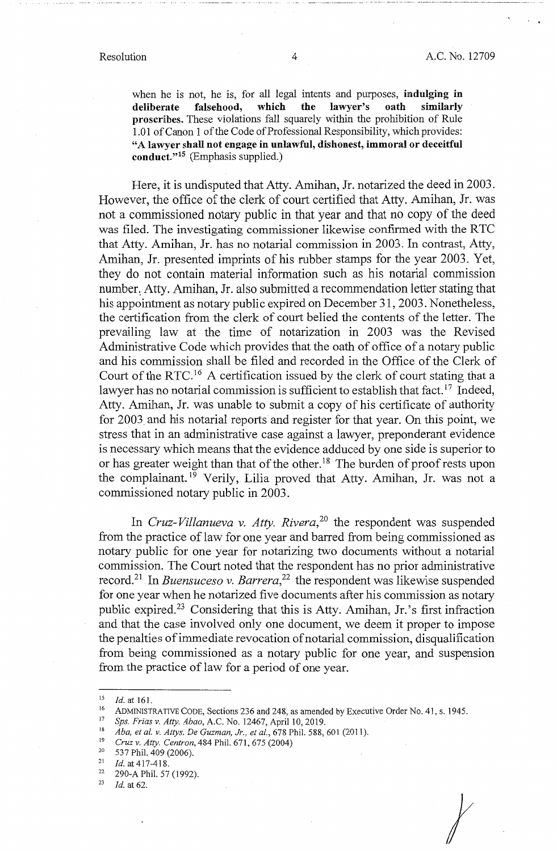when he is not, he is, for all legal intents and purposes, **indulging in** deliberate falsehood, which the lawyer's oath similarly deliberate falsehood, **proscribes.** These violations fall squarely within the prohibition of Rule 1.01 of Canon 1 of the Code of Professional Responsibility, which provides: "A **lawyer shall not engage in unlawful, dishonest, immoral or deceitful conduct."15** (Emphasis supplied.)

Here, it is undisputed that Atty. Amihan, Jr. notarized the deed in 2003. However, the office of the clerk of court certified that Atty. Amihan, Jr. was not a commissioned notary public in that year and that no. copy of the deed was filed. The investigating commissioner likewise confirmed with the RTC that Atty. Amihan, Jr. has no notarial commission in 2003. In contrast, Atty, Amihan, Jr. presented imprints of his rubber stamps for the year 2003. Yet, they do not contain material information such as his notarial commission number: Atty. Amihan, Jr. also submitted a recommendation letter stating that his appointment as notary public expired on December 31, 2003. Nonetheless, the certification from the clerk of court belied the contents of the letter. The prevailing law at the time of notarization in 2003 was the Revised Administrative Code which provides that the oath of office of a notary public and his commission shall be filed and recorded in the Office of the Clerk of Court of the RTC. 16 A certification issued by the clerk of court stating that a lawyer has no notarial commission is sufficient to establish that fact.<sup>17</sup> Indeed, Atty. Amihan, Jr. was unable to submit a copy of his certificate of authority for 2003 and his notarial reports and register for that year. On this point, we stress that in an administrative case against a lawyer, preponderant evidence is necessary which means that the evidence adduced by one side is superior to or has greater weight than that of the other.<sup>18</sup> The burden of proof rests upon the complainant.<sup>19</sup> Verily, Lilia proved that Atty. Amihan, Jr. was not a commissioned notary public in 2003.

In *Cruz-Villanueva v. Atty. Rivera,* 20 the respondent was suspended from the practice of law for one year and barred from being commissioned as notary public for one year for notarizing two documents without a notarial commission. The Court noted that the respondent has no prior administrative record.<sup>21</sup> In *Buensuceso v. Barrera*,<sup>22</sup> the respondent was likewise suspended for one year when he notarized five documents after his commission as notary public expired.23 Considering that this is Atty. Amihan, Jr.'s first infraction and that the case involved only one document, we deem it proper to impose the penalties of immediate revocation of notarial commission, disqualification from being commissioned as a notary public for one year, and suspension from the practice of law for a period of one year.

 $\bigg\}$ 

<sup>&</sup>lt;sup>15</sup> *Id.* at 161.<br>
ADMINISTRATIVE CODE, Sections 236 and 248, as amended by Executive Order No. 41, s. 1945.<br>
<sup>16</sup> *Sps. Frias v. Atty. Abao*, A.C. No. 12467, April 10, 2019.<br>
<sup>18</sup> *Aba, et al. v. Attys. De Guzman, Jr.,*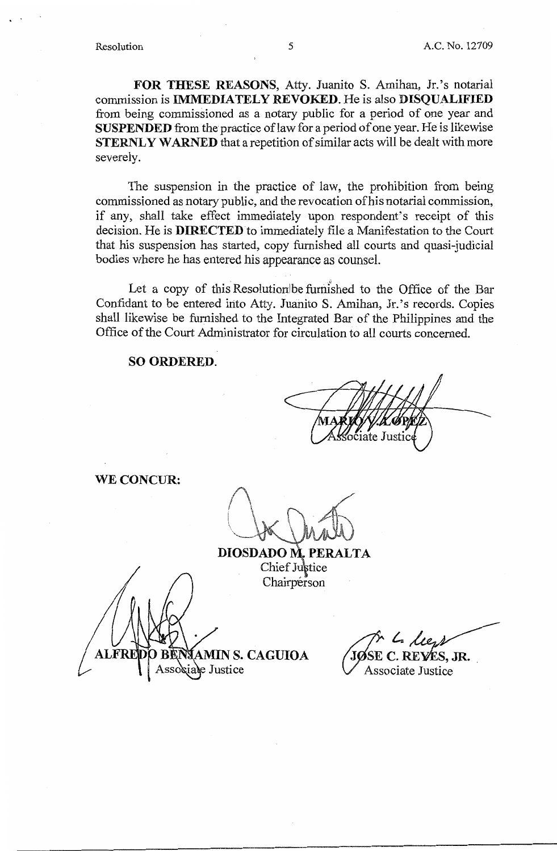**FOR THESE REASONS,** Atty. Juanita S. Amihan, Jr.'s notarial commission is **IMMEDIATELY REVOKED.** He is also **DISQUALIFIED**  from being commissioned as a notary public for a period of one year and **SUSPENDED** from the practice oflaw for a period of one year. He is likewise **STERNLY WARNED** that a repetition of similar acts will be dealt with more severely.

The suspension in the practice of law, the prohibition from being commissioned as notary public, and the revocation of his notarial commission, if any, shall take effect immediately upon respondent's receipt of this decision. He is **DIRECTED** to immediately file a Manifestation to the Court that his suspension has started, copy furnished all courts and quasi-judicial bodies where he has entered his appearance as counsel.

Let a copy of this Resolution be furnished to the Office of the Bar Confidant to be entered into Atty. Juanito S. Amihan, Jr.'s records. Copies shall likewise be furnished to the Integrated Bar of the Philippines and the Office of the Court Administrator for circulation to all courts concerned.

### **SO ORDERED.**

**WE CONCUR:** 

**DIOSDADO M. PERALTA** Chief Justice

Chairperson **AMIN S. CAGUIOA** iale Justice

**t-.**  C. RE**Y**ES, JR.

Associate Justice